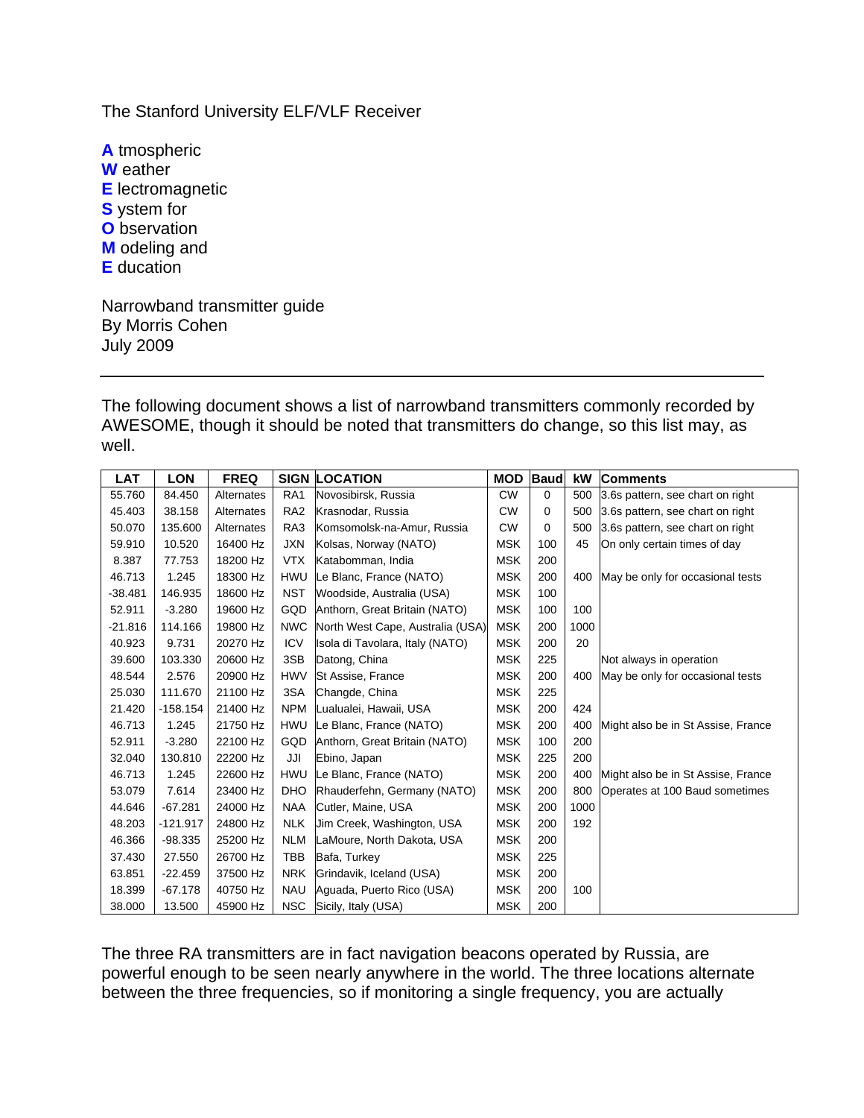The Stanford University ELF/VLF Receiver

**A** tmospheric **W** eather **E** lectromagnetic **S** ystem for **O** bservation **M** odeling and **E** ducation

Narrowband transmitter guide By Morris Cohen July 2009

The following document shows a list of narrowband transmitters commonly recorded by AWESOME, though it should be noted that transmitters do change, so this list may, as well.

| LAT       | <b>LON</b> | <b>FREQ</b> |                 | <b>SIGN LOCATION</b>             | <b>MOD</b> | <b>Baud</b> | kW   | <b>Comments</b>                    |
|-----------|------------|-------------|-----------------|----------------------------------|------------|-------------|------|------------------------------------|
| 55.760    | 84.450     | Alternates  | RA <sub>1</sub> | Novosibirsk, Russia              | <b>CW</b>  | $\mathbf 0$ | 500  | 3.6s pattern, see chart on right   |
| 45.403    | 38.158     | Alternates  | RA <sub>2</sub> | Krasnodar, Russia                | <b>CW</b>  | $\Omega$    | 500  | 3.6s pattern, see chart on right   |
| 50.070    | 135.600    | Alternates  | RA3             | Komsomolsk-na-Amur, Russia       | <b>CW</b>  | $\Omega$    | 500  | 3.6s pattern, see chart on right   |
| 59.910    | 10.520     | 16400 Hz    | <b>JXN</b>      | Kolsas, Norway (NATO)            | <b>MSK</b> | 100         | 45   | On only certain times of day       |
| 8.387     | 77.753     | 18200 Hz    | <b>VTX</b>      | Katabomman, India                | <b>MSK</b> | 200         |      |                                    |
| 46.713    | 1.245      | 18300 Hz    | <b>HWU</b>      | Le Blanc, France (NATO)          | <b>MSK</b> | 200         | 400  | May be only for occasional tests   |
| $-38.481$ | 146.935    | 18600 Hz    | <b>NST</b>      | Woodside, Australia (USA)        | <b>MSK</b> | 100         |      |                                    |
| 52.911    | $-3.280$   | 19600 Hz    | GQD             | Anthorn, Great Britain (NATO)    | <b>MSK</b> | 100         | 100  |                                    |
| $-21.816$ | 114.166    | 19800 Hz    | <b>NWC</b>      | North West Cape, Australia (USA) | <b>MSK</b> | 200         | 1000 |                                    |
| 40.923    | 9.731      | 20270 Hz    | <b>ICV</b>      | Isola di Tavolara, Italy (NATO)  | <b>MSK</b> | 200         | 20   |                                    |
| 39.600    | 103.330    | 20600 Hz    | 3SB             | Datong, China                    | <b>MSK</b> | 225         |      | Not always in operation            |
| 48.544    | 2.576      | 20900 Hz    | <b>HWV</b>      | St Assise, France                | <b>MSK</b> | 200         | 400  | May be only for occasional tests   |
| 25.030    | 111.670    | 21100 Hz    | 3SA             | Changde, China                   | <b>MSK</b> | 225         |      |                                    |
| 21.420    | $-158.154$ | 21400 Hz    | <b>NPM</b>      | Lualualei, Hawaii, USA           | <b>MSK</b> | 200         | 424  |                                    |
| 46.713    | 1.245      | 21750 Hz    | <b>HWU</b>      | Le Blanc, France (NATO)          | <b>MSK</b> | 200         | 400  | Might also be in St Assise, France |
| 52.911    | $-3.280$   | 22100 Hz    | GQD             | Anthorn, Great Britain (NATO)    | <b>MSK</b> | 100         | 200  |                                    |
| 32.040    | 130.810    | 22200 Hz    | JJI             | Ebino, Japan                     | <b>MSK</b> | 225         | 200  |                                    |
| 46.713    | 1.245      | 22600 Hz    | <b>HWU</b>      | Le Blanc, France (NATO)          | <b>MSK</b> | 200         | 400  | Might also be in St Assise, France |
| 53.079    | 7.614      | 23400 Hz    | <b>DHO</b>      | Rhauderfehn, Germany (NATO)      | <b>MSK</b> | 200         | 800  | Operates at 100 Baud sometimes     |
| 44.646    | $-67.281$  | 24000 Hz    | <b>NAA</b>      | Cutler, Maine, USA               | <b>MSK</b> | 200         | 1000 |                                    |
| 48.203    | $-121.917$ | 24800 Hz    | <b>NLK</b>      | Jim Creek, Washington, USA       | <b>MSK</b> | 200         | 192  |                                    |
| 46.366    | $-98.335$  | 25200 Hz    | <b>NLM</b>      | LaMoure, North Dakota, USA       | <b>MSK</b> | 200         |      |                                    |
| 37.430    | 27.550     | 26700 Hz    | <b>TBB</b>      | Bafa, Turkey                     | <b>MSK</b> | 225         |      |                                    |
| 63.851    | $-22.459$  | 37500 Hz    | <b>NRK</b>      | Grindavik, Iceland (USA)         | <b>MSK</b> | 200         |      |                                    |
| 18.399    | $-67.178$  | 40750 Hz    | <b>NAU</b>      | Aguada, Puerto Rico (USA)        | <b>MSK</b> | 200         | 100  |                                    |
| 38.000    | 13.500     | 45900 Hz    | <b>NSC</b>      | Sicily, Italy (USA)              | <b>MSK</b> | 200         |      |                                    |

The three RA transmitters are in fact navigation beacons operated by Russia, are powerful enough to be seen nearly anywhere in the world. The three locations alternate between the three frequencies, so if monitoring a single frequency, you are actually